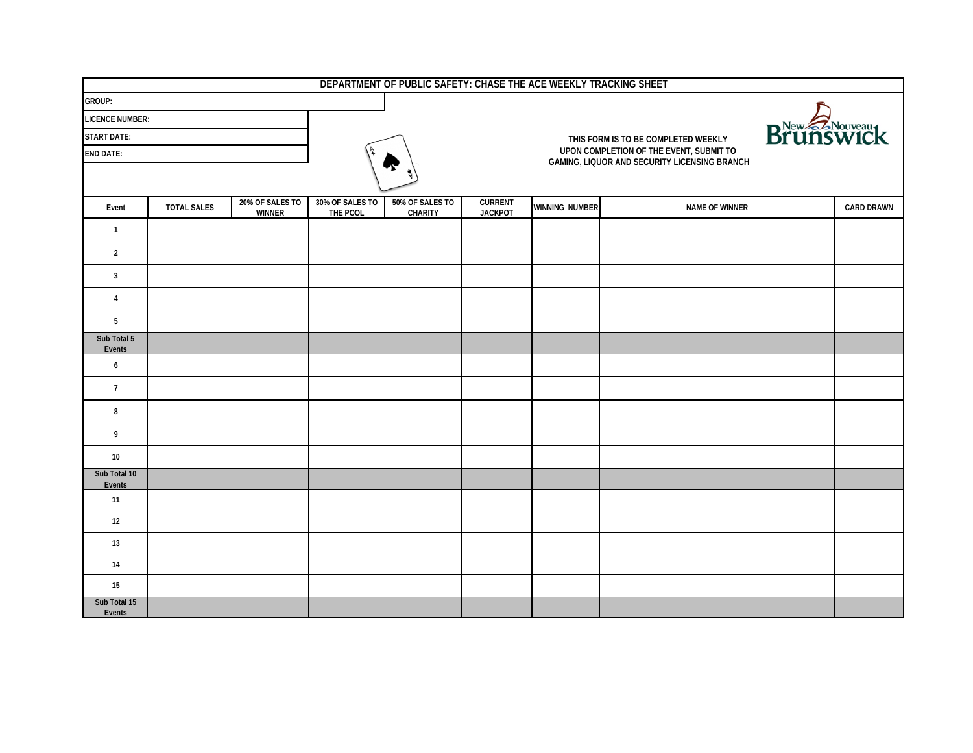| DEPARTMENT OF PUBLIC SAFETY: CHASE THE ACE WEEKLY TRACKING SHEET |                    |                                  |                                                  |                                   |                                  |                       |                                                                                         |                   |  |
|------------------------------------------------------------------|--------------------|----------------------------------|--------------------------------------------------|-----------------------------------|----------------------------------|-----------------------|-----------------------------------------------------------------------------------------|-------------------|--|
| GROUP:                                                           |                    |                                  |                                                  |                                   |                                  |                       |                                                                                         |                   |  |
| <b>LICENCE NUMBER:</b>                                           |                    |                                  |                                                  |                                   |                                  |                       |                                                                                         |                   |  |
| <b>START DATE:</b>                                               |                    |                                  | Brunswick<br>THIS FORM IS TO BE COMPLETED WEEKLY |                                   |                                  |                       |                                                                                         |                   |  |
| <b>END DATE:</b>                                                 |                    |                                  |                                                  |                                   |                                  |                       | UPON COMPLETION OF THE EVENT, SUBMIT TO<br>GAMING, LIQUOR AND SECURITY LICENSING BRANCH |                   |  |
|                                                                  |                    |                                  |                                                  |                                   |                                  |                       |                                                                                         |                   |  |
| Event                                                            | <b>TOTAL SALES</b> | 20% OF SALES TO<br><b>WINNER</b> | 30% OF SALES TO<br>THE POOL                      | 50% OF SALES TO<br><b>CHARITY</b> | <b>CURRENT</b><br><b>JACKPOT</b> | <b>WINNING NUMBER</b> | NAME OF WINNER                                                                          | <b>CARD DRAWN</b> |  |
| $\mathbf{1}$                                                     |                    |                                  |                                                  |                                   |                                  |                       |                                                                                         |                   |  |
| $\overline{2}$                                                   |                    |                                  |                                                  |                                   |                                  |                       |                                                                                         |                   |  |
| $\overline{3}$                                                   |                    |                                  |                                                  |                                   |                                  |                       |                                                                                         |                   |  |
| $\overline{4}$                                                   |                    |                                  |                                                  |                                   |                                  |                       |                                                                                         |                   |  |
| $5\phantom{.0}$                                                  |                    |                                  |                                                  |                                   |                                  |                       |                                                                                         |                   |  |
| Sub Total 5<br>Events                                            |                    |                                  |                                                  |                                   |                                  |                       |                                                                                         |                   |  |
| $\boldsymbol{6}$                                                 |                    |                                  |                                                  |                                   |                                  |                       |                                                                                         |                   |  |
| $\overline{7}$                                                   |                    |                                  |                                                  |                                   |                                  |                       |                                                                                         |                   |  |
| 8                                                                |                    |                                  |                                                  |                                   |                                  |                       |                                                                                         |                   |  |
| 9                                                                |                    |                                  |                                                  |                                   |                                  |                       |                                                                                         |                   |  |
| 10                                                               |                    |                                  |                                                  |                                   |                                  |                       |                                                                                         |                   |  |
| Sub Total 10<br>Events                                           |                    |                                  |                                                  |                                   |                                  |                       |                                                                                         |                   |  |
| 11                                                               |                    |                                  |                                                  |                                   |                                  |                       |                                                                                         |                   |  |
| 12                                                               |                    |                                  |                                                  |                                   |                                  |                       |                                                                                         |                   |  |
| 13                                                               |                    |                                  |                                                  |                                   |                                  |                       |                                                                                         |                   |  |
| 14                                                               |                    |                                  |                                                  |                                   |                                  |                       |                                                                                         |                   |  |
| 15                                                               |                    |                                  |                                                  |                                   |                                  |                       |                                                                                         |                   |  |
| Sub Total 15<br>Events                                           |                    |                                  |                                                  |                                   |                                  |                       |                                                                                         |                   |  |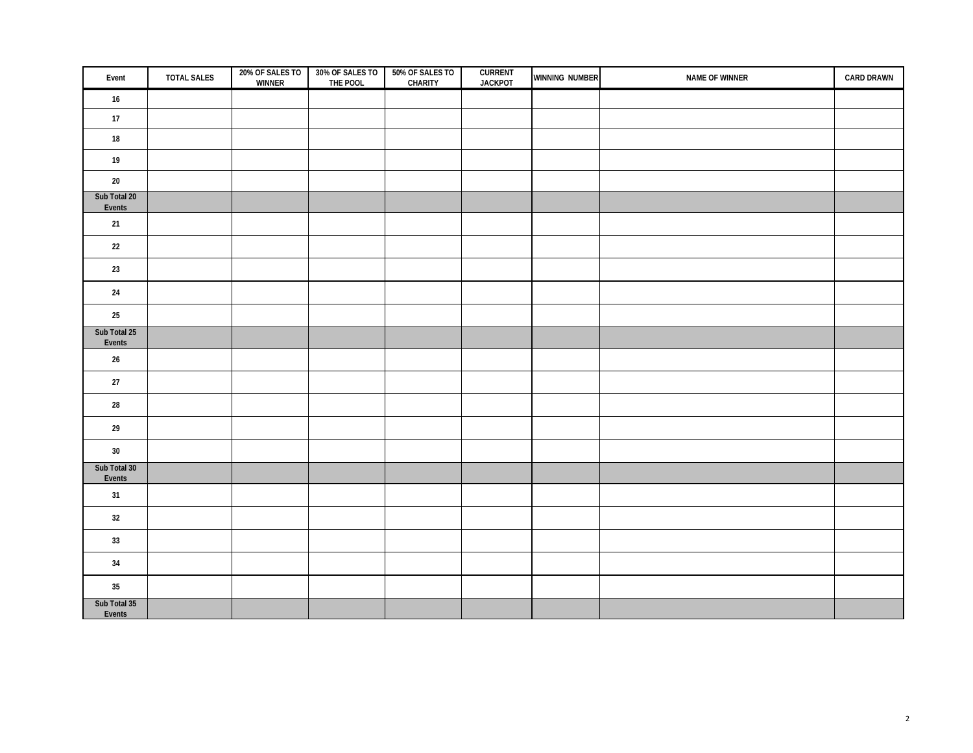| Event                  | <b>TOTAL SALES</b> | 20% OF SALES TO 30% OF SALES TO<br>WINNER THE POOL | 50% OF SALES TO<br><b>CHARITY</b> | <b>CURRENT</b><br><b>JACKPOT</b> | WINNING NUMBER | NAME OF WINNER | <b>CARD DRAWN</b> |
|------------------------|--------------------|----------------------------------------------------|-----------------------------------|----------------------------------|----------------|----------------|-------------------|
| 16                     |                    |                                                    |                                   |                                  |                |                |                   |
| 17                     |                    |                                                    |                                   |                                  |                |                |                   |
| $18\,$                 |                    |                                                    |                                   |                                  |                |                |                   |
| 19                     |                    |                                                    |                                   |                                  |                |                |                   |
| $20\,$                 |                    |                                                    |                                   |                                  |                |                |                   |
| Sub Total 20<br>Events |                    |                                                    |                                   |                                  |                |                |                   |
| $21$                   |                    |                                                    |                                   |                                  |                |                |                   |
| 22                     |                    |                                                    |                                   |                                  |                |                |                   |
|                        |                    |                                                    |                                   |                                  |                |                |                   |
| $23\,$                 |                    |                                                    |                                   |                                  |                |                |                   |
| $24\,$                 |                    |                                                    |                                   |                                  |                |                |                   |
| $25\,$                 |                    |                                                    |                                   |                                  |                |                |                   |
| Sub Total 25<br>Events |                    |                                                    |                                   |                                  |                |                |                   |
| $26\,$                 |                    |                                                    |                                   |                                  |                |                |                   |
| $27\,$                 |                    |                                                    |                                   |                                  |                |                |                   |
| ${\bf 28}$             |                    |                                                    |                                   |                                  |                |                |                   |
| $29\,$                 |                    |                                                    |                                   |                                  |                |                |                   |
| 30                     |                    |                                                    |                                   |                                  |                |                |                   |
| Sub Total 30           |                    |                                                    |                                   |                                  |                |                |                   |
| Events<br>31           |                    |                                                    |                                   |                                  |                |                |                   |
|                        |                    |                                                    |                                   |                                  |                |                |                   |
| $32\,$                 |                    |                                                    |                                   |                                  |                |                |                   |
| $33\,$                 |                    |                                                    |                                   |                                  |                |                |                   |
| $34\,$                 |                    |                                                    |                                   |                                  |                |                |                   |
| $35\,$                 |                    |                                                    |                                   |                                  |                |                |                   |
| Sub Total 35<br>Events |                    |                                                    |                                   |                                  |                |                |                   |